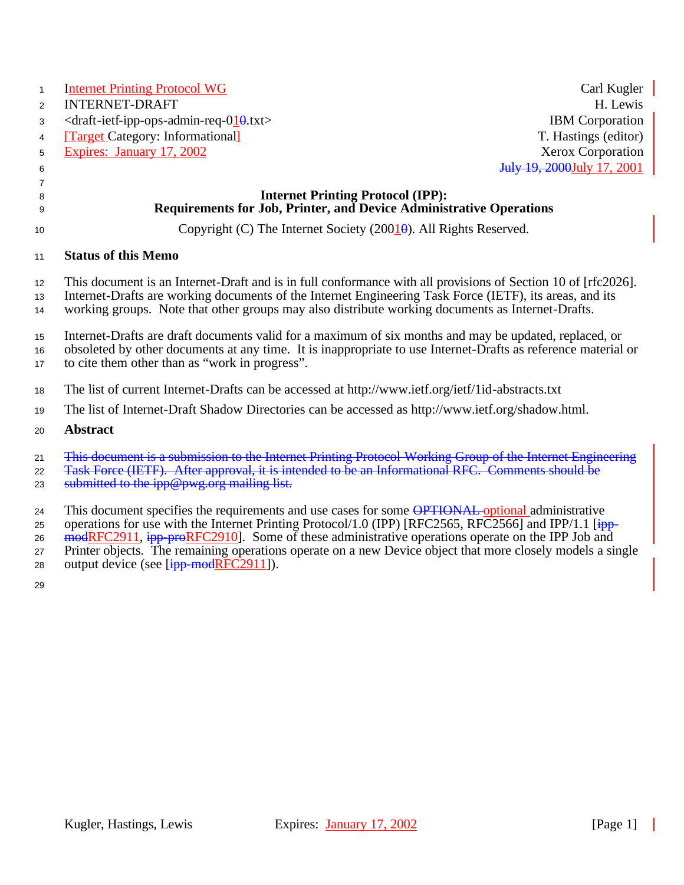| $\mathbf{1}$<br>2<br>3<br>4<br>5<br>6 | <b>Internet Printing Protocol WG</b><br><b>INTERNET-DRAFT</b><br><draft-ietf-ipp-ops-admin-req-010.txt><br/><b>Target Category: Informationall</b><br/>Expires: January 17, 2002</draft-ietf-ipp-ops-admin-req-010.txt>                                                                                                      | Carl Kugler<br>H. Lewis<br><b>IBM</b> Corporation<br>T. Hastings (editor)<br><b>Xerox Corporation</b><br>July 19, 2000 July 17, 2001 |
|---------------------------------------|------------------------------------------------------------------------------------------------------------------------------------------------------------------------------------------------------------------------------------------------------------------------------------------------------------------------------|--------------------------------------------------------------------------------------------------------------------------------------|
| $\overline{7}$<br>8                   | <b>Internet Printing Protocol (IPP):</b>                                                                                                                                                                                                                                                                                     |                                                                                                                                      |
| 9                                     | Requirements for Job, Printer, and Device Administrative Operations                                                                                                                                                                                                                                                          |                                                                                                                                      |
| 10                                    | Copyright (C) The Internet Society (2001 $\theta$ ). All Rights Reserved.                                                                                                                                                                                                                                                    |                                                                                                                                      |
| 11                                    | <b>Status of this Memo</b>                                                                                                                                                                                                                                                                                                   |                                                                                                                                      |
| 12 <sup>2</sup><br>13<br>14           | This document is an Internet-Draft and is in full conformance with all provisions of Section 10 of [rfc2026].<br>Internet-Drafts are working documents of the Internet Engineering Task Force (IETF), its areas, and its<br>working groups. Note that other groups may also distribute working documents as Internet-Drafts. |                                                                                                                                      |
| 15<br>16<br>17                        | Internet-Drafts are draft documents valid for a maximum of six months and may be updated, replaced, or<br>obsoleted by other documents at any time. It is inappropriate to use Internet-Drafts as reference material or<br>to cite them other than as "work in progress".                                                    |                                                                                                                                      |
| 18                                    | The list of current Internet-Drafts can be accessed at http://www.ietf.org/ietf/1id-abstracts.txt                                                                                                                                                                                                                            |                                                                                                                                      |
| 19                                    | The list of Internet-Draft Shadow Directories can be accessed as http://www.ietf.org/shadow.html.                                                                                                                                                                                                                            |                                                                                                                                      |
| 20                                    | <b>Abstract</b>                                                                                                                                                                                                                                                                                                              |                                                                                                                                      |
| 21<br>22<br>23                        | This document is a submission to the Internet Printing Protocol Working Group of the Internet Engineering<br>Task Force (IETF). After approval, it is intended to be an Informational RFC. Comments should be<br>submitted to the ipp@pwg.org mailing list.                                                                  |                                                                                                                                      |

24 This document specifies the requirements and use cases for some **OPTIONAL** optional administrative 25 operations for use with the Internet Printing Protocol/1.0 (IPP) [RFC2565, RFC2566] and IPP/1.1 [ipp-26 modRFC2911, ipp-proRFC2910]. Some of these administrative operations operate on the IPP Job and 27 Printer objects. The remaining operations operate on a new Device object that more closely models a single

28 output device (see  $[ipp$ -modRFC2911]).

29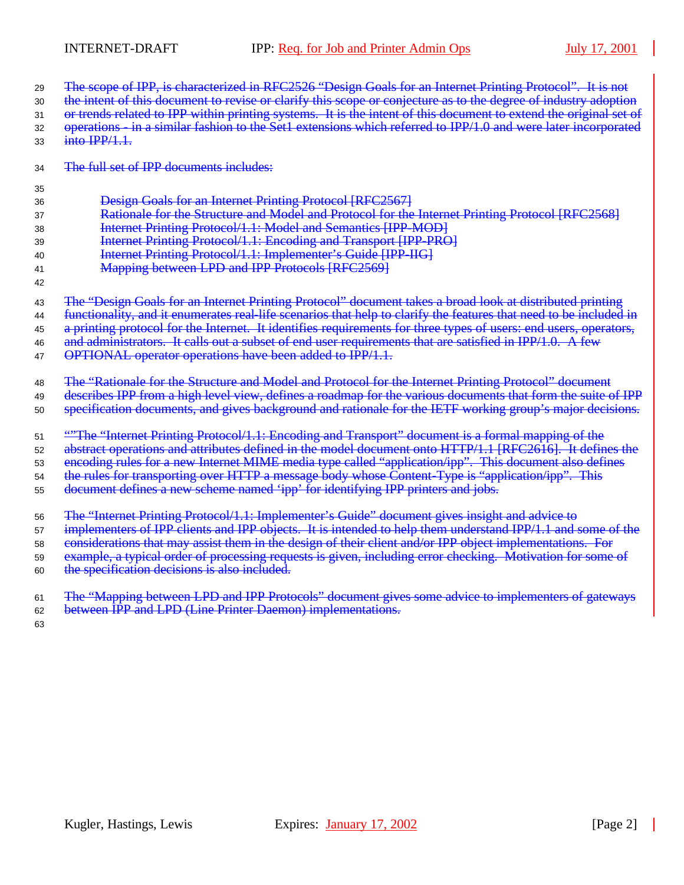- 29 The scope of IPP, is characterized in RFC2526 "Design Goals for an Internet Printing Protocol". It is not
- 30 the intent of this document to revise or clarify this scope or conjecture as to the degree of industry adoption
- 31 or trends related to IPP within printing systems. It is the intent of this document to extend the original set of 32 operations - in a similar fashion to the Set1 extensions which referred to IPP/1.0 and were later incorporated
- $33 \quad \text{into IPP/1.1.}$
- 34 The full set of IPP documents includes:
- 35

<sup>36</sup> Design Goals for an Internet Printing Protocol [RFC2567]

- 37 **Rationale for the Structure and Model and Protocol for the Internet Printing Protocol [RFC2568]**
- <sup>38</sup> Internet Printing Protocol/1.1: Model and Semantics [IPP-MOD]
- <sup>39</sup> Internet Printing Protocol/1.1: Encoding and Transport [IPP-PRO]
- 40 **Internet Printing Protocol/1.1: Implementer's Guide [IPP-IIG]**
- 41 **Mapping between LPD and IPP Protocols [RFC2569]**
- 42

43 The "Design Goals for an Internet Printing Protocol" document takes a broad look at distributed printing

- 44 functionality, and it enumerates real-life scenarios that help to clarify the features that need to be included in
- 45 a printing protocol for the Internet. It identifies requirements for three types of users: end users, operators,
- 46 and administrators. It calls out a subset of end user requirements that are satisfied in IPP/1.0. A few
- 47 OPTIONAL operator operations have been added to IPP/1.1.

48 The "Rationale for the Structure and Model and Protocol for the Internet Printing Protocol" document

49 describes IPP from a high level view, defines a roadmap for the various documents that form the suite of IPP

<sup>50</sup> specification documents, and gives background and rationale for the IETF working group's major decisions.

- 51 **"The "Internet Printing Protocol/1.1: Encoding and Transport" document is a formal mapping of the**
- <sup>52</sup> abstract operations and attributes defined in the model document onto HTTP/1.1 [RFC2616]. It defines the
- 53 encoding rules for a new Internet MIME media type called "application/ipp". This document also defines
- 54 the rules for transporting over HTTP a message body whose Content-Type is "application/ipp". This
- 55 document defines a new scheme named 'ipp' for identifying IPP printers and jobs.
- <sup>56</sup> The "Internet Printing Protocol/1.1: Implementer's Guide" document gives insight and advice to
- 57 implementers of IPP clients and IPP objects. It is intended to help them understand IPP/1.1 and some of the
- 58 considerations that may assist them in the design of their client and/or IPP object implementations. For
- 59 example, a typical order of processing requests is given, including error checking. Motivation for some of
- 60 the specification decisions is also included.
- 61 The "Mapping between LPD and IPP Protocols" document gives some advice to implementers of gateways 62 between IPP and LPD (Line Printer Daemon) implementations.
- 63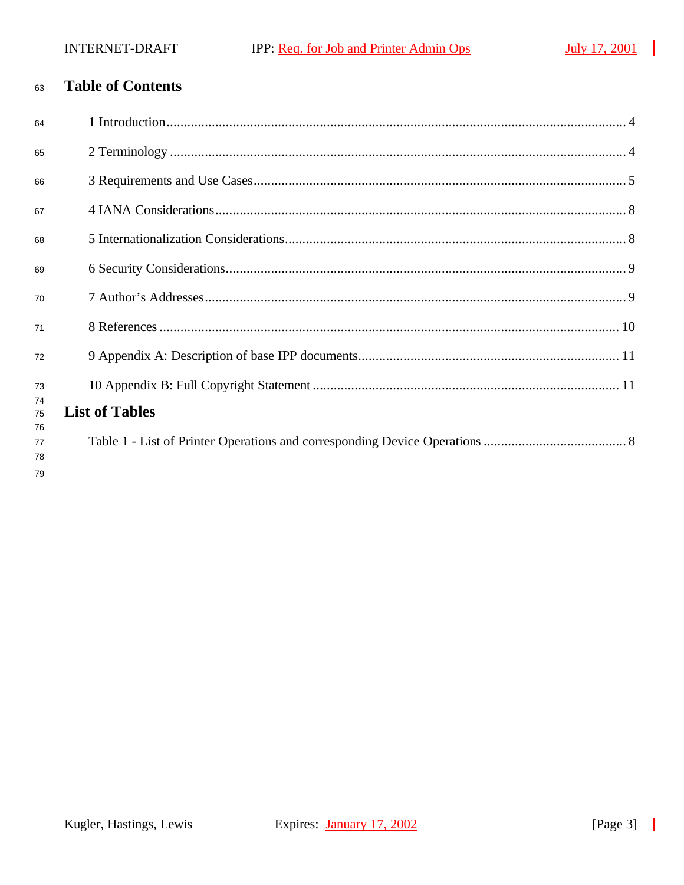$\mathcal{L}$ 

#### **Table of Contents** 63

| 64             |                       |
|----------------|-----------------------|
| 65             |                       |
| 66             |                       |
| 67             |                       |
| 68             |                       |
| 69             |                       |
| 70             |                       |
| 71             |                       |
| 72             |                       |
| 73<br>74       |                       |
| 75             | <b>List of Tables</b> |
| 76<br>77<br>78 |                       |
| 79             |                       |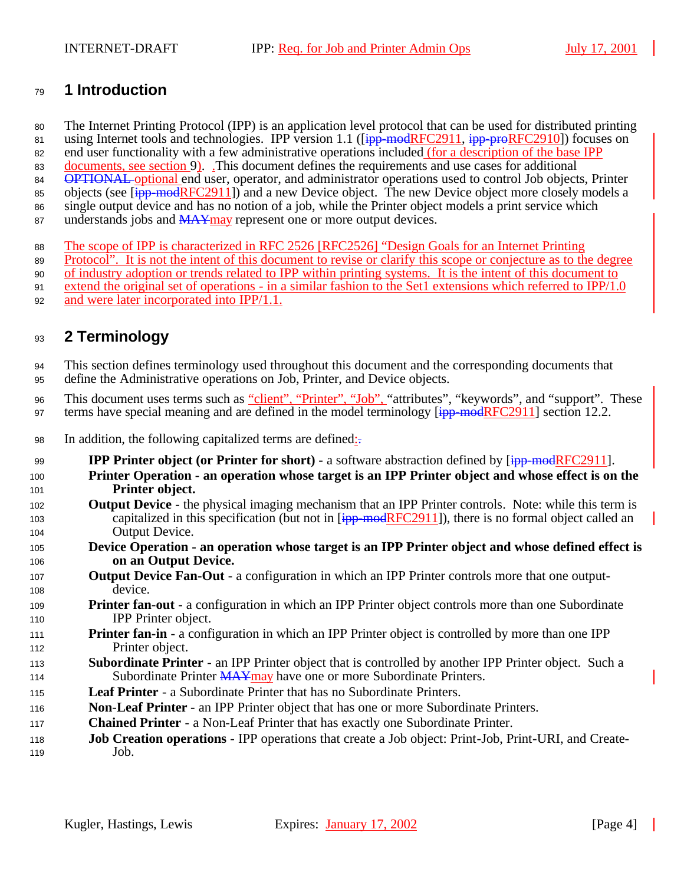## **1 Introduction**

The Internet Printing Protocol (IPP) is an application level protocol that can be used for distributed printing

81 using Internet tools and technologies. IPP version 1.1 ( $\overline{[ipp\text{-}modRFC2911]}$ ,  $\overline{ipp\text{-}predFC2910]}$ ) focuses on end user functionality with a few administrative operations included (for a description of the base IPP

83 documents, see section 9). This document defines the requirements and use cases for additional

84 OPTIONAL optional end user, operator, and administrator operations used to control Job objects, Printer

85 objects (see  $\overline{ipp\text{-}modRFC2911}$ ) and a new Device object. The new Device object more closely models a

single output device and has no notion of a job, while the Printer object models a print service which

- 87 understands jobs and  $\overline{MAX}$  may represent one or more output devices.
- The scope of IPP is characterized in RFC 2526 [RFC2526] "Design Goals for an Internet Printing

Protocol". It is not the intent of this document to revise or clarify this scope or conjecture as to the degree

of industry adoption or trends related to IPP within printing systems. It is the intent of this document to

- extend the original set of operations in a similar fashion to the Set1 extensions which referred to IPP/1.0
- and were later incorporated into IPP/1.1.

## **2 Terminology**

 This section defines terminology used throughout this document and the corresponding documents that define the Administrative operations on Job, Printer, and Device objects.

96 This document uses terms such as "client", "Printer", "Job", "attributes", "keywords", and "support". These 97 terms have special meaning and are defined in the model terminology  $\left[\frac{1}{10}p\right]$  model  $RFC2911$ ] section 12.2.

- 98 In addition, the following capitalized terms are defined:
- 99 **IPP Printer object (or Printer for short)** a software abstraction defined by  $\frac{1}{1}$  = modRFC2911].
- **Printer Operation an operation whose target is an IPP Printer object and whose effect is on the Printer object.**
- **Output Device**  the physical imaging mechanism that an IPP Printer controls. Note: while this term is 103 capitalized in this specification (but not in  $\overline{ipp\text{-}mod}$ RFC2911]), there is no formal object called an Output Device.
- **Device Operation an operation whose target is an IPP Printer object and whose defined effect is on an Output Device.**
- **Output Device Fan-Out** a configuration in which an IPP Printer controls more that one output-device.
- **Printer fan**-**out**  a configuration in which an IPP Printer object controls more than one Subordinate IPP Printer object.
- **Printer fan-in** a configuration in which an IPP Printer object is controlled by more than one IPP Printer object.
- **Subordinate Printer**  an IPP Printer object that is controlled by another IPP Printer object. Such a 114 Subordinate Printer MAYmay have one or more Subordinate Printers.
- **Leaf Printer**  a Subordinate Printer that has no Subordinate Printers.
- **Non**-**Leaf Printer** an IPP Printer object that has one or more Subordinate Printers.
- **Chained Printer**  a Non-Leaf Printer that has exactly one Subordinate Printer.
- **Job Creation operations**  IPP operations that create a Job object: Print-Job, Print-URI, and Create-Job.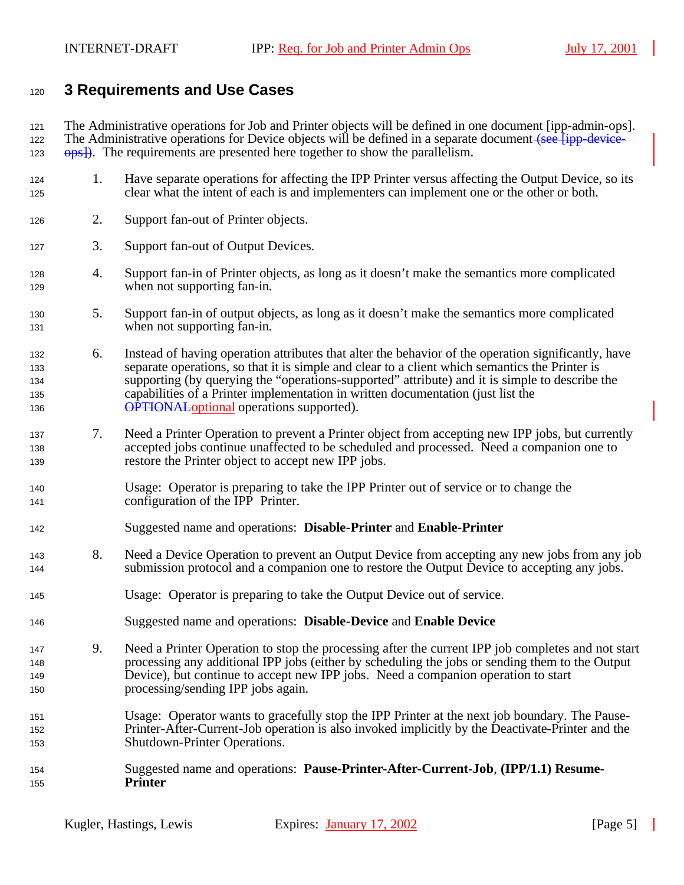## **3 Requirements and Use Cases**

 The Administrative operations for Job and Printer objects will be defined in one document [ipp-admin-ops]. 122 The Administrative operations for Device objects will be defined in a separate document (see [ipp-device-123  $\theta$  ops<sup>2</sup>). The requirements are presented here together to show the parallelism.

- 1. Have separate operations for affecting the IPP Printer versus affecting the Output Device, so its clear what the intent of each is and implementers can implement one or the other or both.
- 2. Support fan-out of Printer objects.
- 3. Support fan-out of Output Devices.
- 4. Support fan-in of Printer objects, as long as it doesn't make the semantics more complicated when not supporting fan-in.
- 5. Support fan-in of output objects, as long as it doesn't make the semantics more complicated when not supporting fan-in.
- 6. Instead of having operation attributes that alter the behavior of the operation significantly, have separate operations, so that it is simple and clear to a client which semantics the Printer is supporting (by querying the "operations-supported" attribute) and it is simple to describe the capabilities of a Printer implementation in written documentation (just list the **OPTIONAL** optional operations supported).
- 7. Need a Printer Operation to prevent a Printer object from accepting new IPP jobs, but currently accepted jobs continue unaffected to be scheduled and processed. Need a companion one to restore the Printer object to accept new IPP jobs.
- Usage: Operator is preparing to take the IPP Printer out of service or to change the configuration of the IPP Printer.
- Suggested name and operations: **Disable-Printer** and **Enable-Printer**
- 8. Need a Device Operation to prevent an Output Device from accepting any new jobs from any job submission protocol and a companion one to restore the Output Device to accepting any jobs.
- Usage: Operator is preparing to take the Output Device out of service.
- Suggested name and operations: **Disable-Device** and **Enable Device**
- 9. Need a Printer Operation to stop the processing after the current IPP job completes and not start processing any additional IPP jobs (either by scheduling the jobs or sending them to the Output Device), but continue to accept new IPP jobs. Need a companion operation to start processing/sending IPP jobs again.
- Usage: Operator wants to gracefully stop the IPP Printer at the next job boundary. The Pause- Printer-After-Current-Job operation is also invoked implicitly by the Deactivate-Printer and the Shutdown-Printer Operations.
- Suggested name and operations: **Pause-Printer-After-Current-Job**, **(IPP/1.1) Resume-Printer**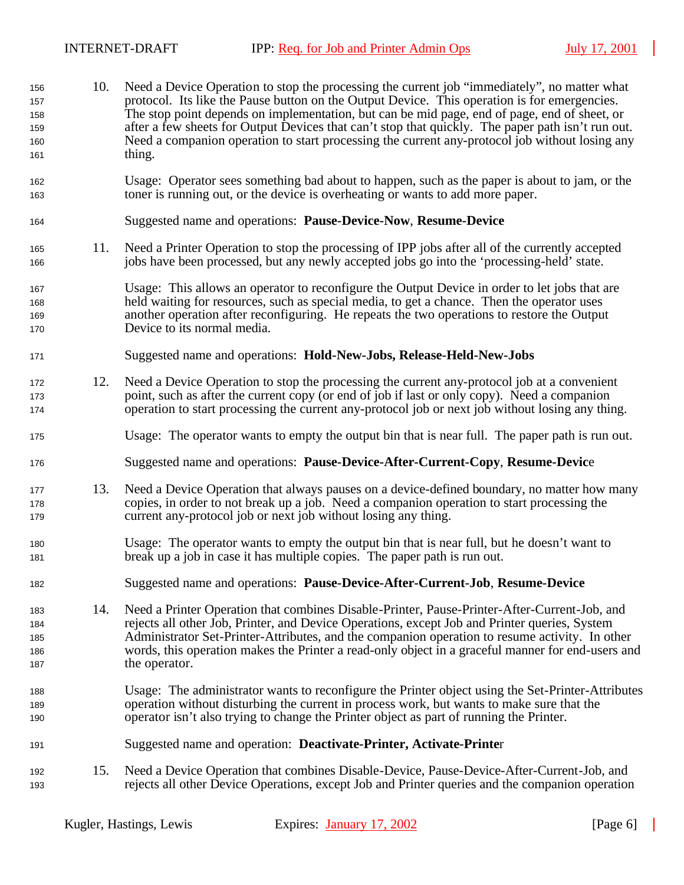10. Need a Device Operation to stop the processing the current job "immediately", no matter what protocol. Its like the Pause button on the Output Device. This operation is for emergencies. The stop point depends on implementation, but can be mid page, end of page, end of sheet, or after a few sheets for Output Devices that can't stop that quickly. The paper path isn't run out. Need a companion operation to start processing the current any-protocol job without losing any thing. Usage: Operator sees something bad about to happen, such as the paper is about to jam, or the toner is running out, or the device is overheating or wants to add more paper. Suggested name and operations: **Pause-Device-Now**, **Resume-Device** 11. Need a Printer Operation to stop the processing of IPP jobs after all of the currently accepted jobs have been processed, but any newly accepted jobs go into the 'processing-held' state. Usage: This allows an operator to reconfigure the Output Device in order to let jobs that are held waiting for resources, such as special media, to get a chance. Then the operator uses another operation after reconfiguring. He repeats the two operations to restore the Output Device to its normal media. Suggested name and operations: **Hold-New-Jobs, Release-Held-New-Jobs** 12. Need a Device Operation to stop the processing the current any-protocol job at a convenient point, such as after the current copy (or end of job if last or only copy). Need a companion operation to start processing the current any-protocol job or next job without losing any thing. Usage: The operator wants to empty the output bin that is near full. The paper path is run out. Suggested name and operations: **Pause-Device-After-Current-Copy**, **Resume-Devic**e 13. Need a Device Operation that always pauses on a device-defined boundary, no matter how many copies, in order to not break up a job. Need a companion operation to start processing the current any-protocol job or next job without losing any thing. Usage: The operator wants to empty the output bin that is near full, but he doesn't want to break up a job in case it has multiple copies. The paper path is run out. Suggested name and operations: **Pause-Device-After-Current-Job**, **Resume-Device** 14. Need a Printer Operation that combines Disable-Printer, Pause-Printer-After-Current-Job, and rejects all other Job, Printer, and Device Operations, except Job and Printer queries, System Administrator Set-Printer-Attributes, and the companion operation to resume activity. In other words, this operation makes the Printer a read-only object in a graceful manner for end-users and 187 the operator. Usage: The administrator wants to reconfigure the Printer object using the Set-Printer-Attributes operation without disturbing the current in process work, but wants to make sure that the operator isn't also trying to change the Printer object as part of running the Printer. Suggested name and operation: **Deactivate-Printer, Activate-Printe**r 15. Need a Device Operation that combines Disable-Device, Pause-Device-After-Current-Job, and rejects all other Device Operations, except Job and Printer queries and the companion operation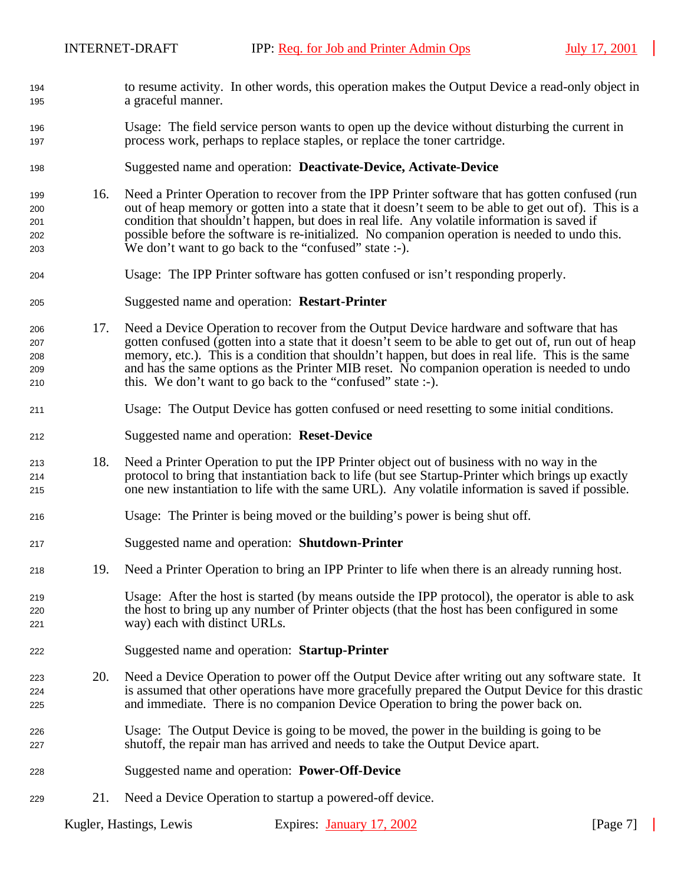- to resume activity. In other words, this operation makes the Output Device a read-only object in a graceful manner.
- Usage: The field service person wants to open up the device without disturbing the current in process work, perhaps to replace staples, or replace the toner cartridge.
- Suggested name and operation: **Deactivate-Device, Activate-Device**
- 16. Need a Printer Operation to recover from the IPP Printer software that has gotten confused (run out of heap memory or gotten into a state that it doesn't seem to be able to get out of). This is a condition that shouldn't happen, but does in real life. Any volatile information is saved if possible before the software is re-initialized. No companion operation is needed to undo this. We don't want to go back to the "confused" state :-).
- Usage: The IPP Printer software has gotten confused or isn't responding properly.
- Suggested name and operation: **Restart-Printer**
- 17. Need a Device Operation to recover from the Output Device hardware and software that has gotten confused (gotten into a state that it doesn't seem to be able to get out of, run out of heap memory, etc.). This is a condition that shouldn't happen, but does in real life. This is the same and has the same options as the Printer MIB reset. No companion operation is needed to undo this. We don't want to go back to the "confused" state :-).
- Usage: The Output Device has gotten confused or need resetting to some initial conditions.
- Suggested name and operation: **Reset-Device**
- 18. Need a Printer Operation to put the IPP Printer object out of business with no way in the protocol to bring that instantiation back to life (but see Startup-Printer which brings up exactly one new instantiation to life with the same URL). Any volatile information is saved if possible.
- Usage: The Printer is being moved or the building's power is being shut off.
- Suggested name and operation: **Shutdown-Printer**
- 19. Need a Printer Operation to bring an IPP Printer to life when there is an already running host.
- Usage: After the host is started (by means outside the IPP protocol), the operator is able to ask the host to bring up any number of Printer objects (that the host has been configured in some way) each with distinct URLs.
- Suggested name and operation: **Startup-Printer**
- 20. Need a Device Operation to power off the Output Device after writing out any software state. It is assumed that other operations have more gracefully prepared the Output Device for this drastic and immediate. There is no companion Device Operation to bring the power back on.
- Usage: The Output Device is going to be moved, the power in the building is going to be shutoff, the repair man has arrived and needs to take the Output Device apart.
- Suggested name and operation: **Power-Off-Device**
- 21. Need a Device Operation to startup a powered-off device.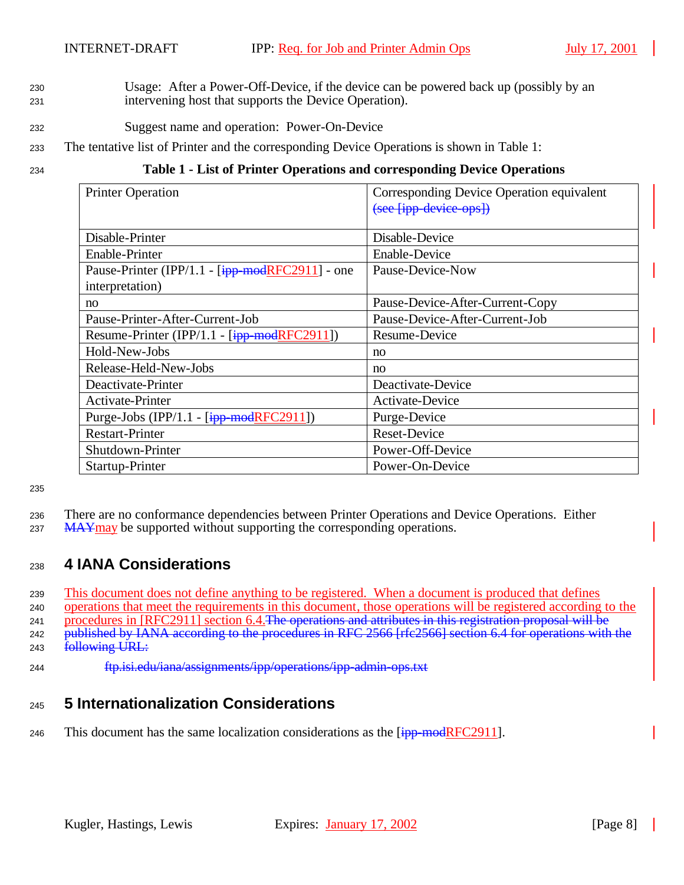- <sup>230</sup> Usage: After a Power-Off-Device, if the device can be powered back up (possibly by an <sup>231</sup> intervening host that supports the Device Operation).
- <sup>232</sup> Suggest name and operation: Power-On-Device
- <sup>233</sup> The tentative list of Printer and the corresponding Device Operations is shown in Table 1:

#### <sup>234</sup> **Table 1 - List of Printer Operations and corresponding Device Operations**

| <b>Printer Operation</b>                           | Corresponding Device Operation equivalent |
|----------------------------------------------------|-------------------------------------------|
|                                                    | (see [ipp-device-ops])                    |
|                                                    |                                           |
| Disable-Printer                                    | Disable-Device                            |
| Enable-Printer                                     | <b>Enable-Device</b>                      |
| Pause-Printer (IPP/1.1 - $[ipp$ -modRFC2911] - one | Pause-Device-Now                          |
| interpretation)                                    |                                           |
| no                                                 | Pause-Device-After-Current-Copy           |
| Pause-Printer-After-Current-Job                    | Pause-Device-After-Current-Job            |
| Resume-Printer (IPP/1.1 - $[ipp$ -modRFC2911])     | Resume-Device                             |
| Hold-New-Jobs                                      | no                                        |
| Release-Held-New-Jobs                              | no                                        |
| Deactivate-Printer                                 | Deactivate-Device                         |
| Activate-Printer                                   | Activate-Device                           |
| Purge-Jobs (IPP/1.1 - $[ipp$ -modRFC2911])         | Purge-Device                              |
| <b>Restart-Printer</b>                             | <b>Reset-Device</b>                       |
| Shutdown-Printer                                   | Power-Off-Device                          |
| Startup-Printer                                    | Power-On-Device                           |

235

- <sup>236</sup> There are no conformance dependencies between Printer Operations and Device Operations. Either
- 237 MAYmay be supported without supporting the corresponding operations.

#### <sup>238</sup> **4 IANA Considerations**

<sup>239</sup> This document does not define anything to be registered. When a document is produced that defines

<sup>240</sup> operations that meet the requirements in this document, those operations will be registered according to the

241 procedures in [RFC2911] section 6.4. The operations and attributes in this registration proposal will be

242 published by IANA according to the procedures in RFC 2566 [rfc2566] section 6.4 for operations with the

- 243 **following URL:**
- <sup>244</sup> ftp.isi.edu/iana/assignments/ipp/operations/ipp-admin-ops.txt

## <sup>245</sup> **5 Internationalization Considerations**

246 This document has the same localization considerations as the  $\frac{1}{1}$  -modRFC2911.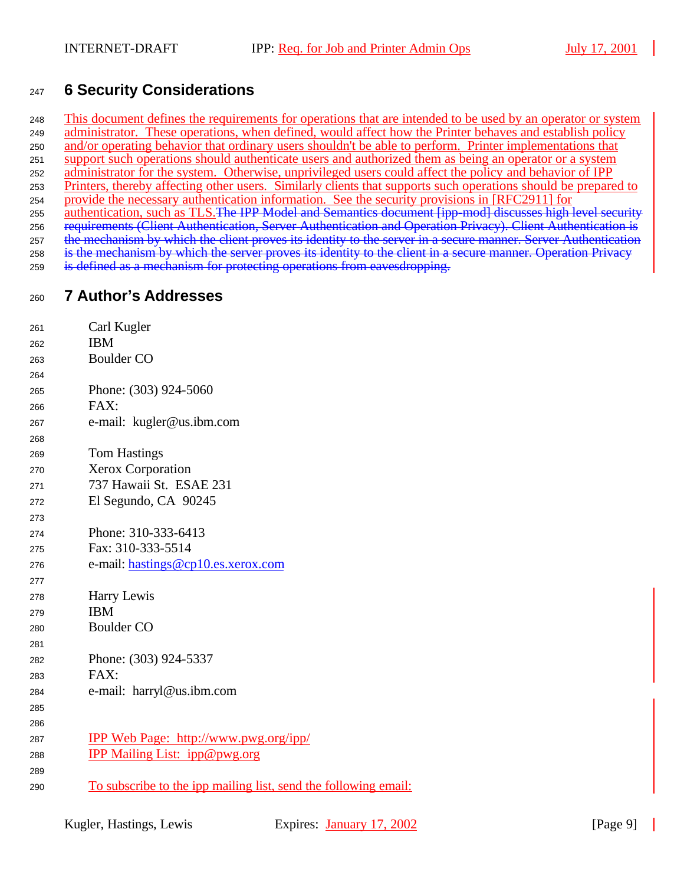## **6 Security Considerations**

 This document defines the requirements for operations that are intended to be used by an operator or system administrator. These operations, when defined, would affect how the Printer behaves and establish policy and/or operating behavior that ordinary users shouldn't be able to perform. Printer implementations that support such operations should authenticate users and authorized them as being an operator or a system administrator for the system. Otherwise, unprivileged users could affect the policy and behavior of IPP Printers, thereby affecting other users. Similarly clients that supports such operations should be prepared to provide the necessary authentication information. See the security provisions in [RFC2911] for 255 authentication, such as TLS. The IPP Model and Semantics document [ipp-mod] discusses high level security 256 requirements (Client Authentication, Server Authentication and Operation Privacy). Client Authentication is 257 the mechanism by which the client proves its identity to the server in a secure manner. Server Authentication 258 is the mechanism by which the server proves its identity to the client in a secure manner. Operation Privacy is defined as a mechanism for protecting operations from eavesdropping.

## **7 Author's Addresses**

| 261 | Carl Kugler                                                            |
|-----|------------------------------------------------------------------------|
| 262 | <b>IBM</b>                                                             |
| 263 | <b>Boulder CO</b>                                                      |
| 264 |                                                                        |
| 265 | Phone: (303) 924-5060                                                  |
| 266 | FAX:                                                                   |
| 267 | e-mail: kugler@us.ibm.com                                              |
| 268 |                                                                        |
| 269 | <b>Tom Hastings</b>                                                    |
| 270 | Xerox Corporation                                                      |
| 271 | 737 Hawaii St. ESAE 231                                                |
| 272 | El Segundo, CA 90245                                                   |
| 273 |                                                                        |
| 274 | Phone: 310-333-6413                                                    |
| 275 | Fax: 310-333-5514                                                      |
| 276 | e-mail: hastings@cp10.es.xerox.com                                     |
| 277 |                                                                        |
| 278 | Harry Lewis                                                            |
| 279 | <b>IBM</b>                                                             |
| 280 | <b>Boulder CO</b>                                                      |
| 281 |                                                                        |
| 282 | Phone: (303) 924-5337                                                  |
| 283 | FAX:                                                                   |
| 284 | e-mail: harryl@us.ibm.com                                              |
| 285 |                                                                        |
| 286 |                                                                        |
| 287 | <b>IPP Web Page: http://www.pwg.org/ipp/</b>                           |
| 288 | <b>IPP Mailing List: ipp@pwg.org</b>                                   |
| 289 |                                                                        |
| 290 | <u>To subscribe to the ipp mailing list, send the following email:</u> |
|     |                                                                        |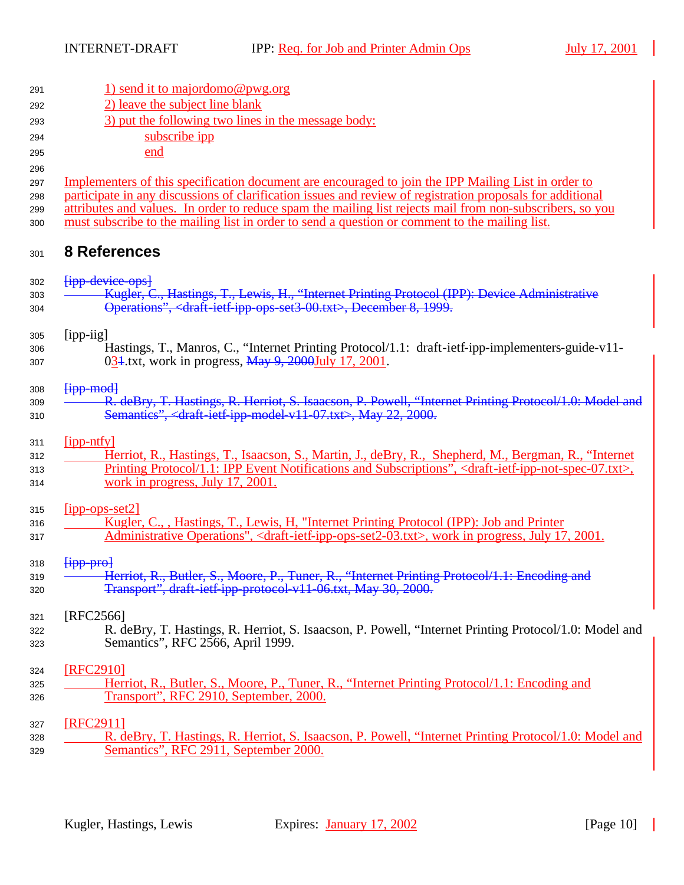| 291        | 1) send it to majordomo@pwg.org                                                                                                                           |  |
|------------|-----------------------------------------------------------------------------------------------------------------------------------------------------------|--|
| 292        | 2) leave the subject line blank                                                                                                                           |  |
| 293        | 3) put the following two lines in the message body:                                                                                                       |  |
| 294        | subscribe ipp                                                                                                                                             |  |
| 295        | end                                                                                                                                                       |  |
| 296        |                                                                                                                                                           |  |
| 297        | Implementers of this specification document are encouraged to join the IPP Mailing List in order to                                                       |  |
| 298        | participate in any discussions of clarification issues and review of registration proposals for additional                                                |  |
| 299        | attributes and values. In order to reduce spam the mailing list rejects mail from non-subscribers, so you                                                 |  |
| 300        | must subscribe to the mailing list in order to send a question or comment to the mailing list.                                                            |  |
| 301        | <b>8 References</b>                                                                                                                                       |  |
| 302        | <b>Fipp device opsl</b>                                                                                                                                   |  |
| 303        | Kugler, C., Hastings, T., Lewis, H., "Internet Printing Protocol (IPP): Device Administrative                                                             |  |
| 304        | Operations", <draft-ietf-ipp-ops-set3-00.txt>, December 8, 1999.</draft-ietf-ipp-ops-set3-00.txt>                                                         |  |
|            |                                                                                                                                                           |  |
| 305        | [ipp-iig]                                                                                                                                                 |  |
| 306        | Hastings, T., Manros, C., "Internet Printing Protocol/1.1: draft-ietf-ipp-implementers-guide-v11-<br>034.txt, work in progress, May 9, 2000July 17, 2001. |  |
| 307        |                                                                                                                                                           |  |
| 308        | ${jpp \mod}$                                                                                                                                              |  |
| 309        | R. deBry, T. Hastings, R. Herriot, S. Isaacson, P. Powell, "Internet Printing Protocol/1.0: Model and                                                     |  |
| 310        | Semantics", <draft-ietf-ipp-model-v11-07.txt>, May 22, 2000.</draft-ietf-ipp-model-v11-07.txt>                                                            |  |
|            |                                                                                                                                                           |  |
| 311        | $[$ ipp-ntfy]<br>Herriot, R., Hastings, T., Isaacson, S., Martin, J., deBry, R., Shepherd, M., Bergman, R., "Internet                                     |  |
| 312<br>313 | Printing Protocol/1.1: IPP Event Notifications and Subscriptions", <draft-ietf-ipp-not-spec-07.txt>,</draft-ietf-ipp-not-spec-07.txt>                     |  |
| 314        | work in progress, July 17, 2001.                                                                                                                          |  |
|            |                                                                                                                                                           |  |
| 315        | $[$ ipp-ops-set2]                                                                                                                                         |  |
| 316        | Kugler, C., , Hastings, T., Lewis, H. "Internet Printing Protocol (IPP): Job and Printer                                                                  |  |
| 317        | Administrative Operations", <draft-ietf-ipp-ops-set2-03.txt>, work in progress, July 17, 2001.</draft-ietf-ipp-ops-set2-03.txt>                           |  |
|            | $[$ ipp pro $]$                                                                                                                                           |  |
| 318<br>319 | Herriot, R., Butler, S., Moore, P., Tuner, R., "Internet Printing Protocol/1.1: Encoding and                                                              |  |
| 320        | Transport", draft ietf ipp protocol v11-06.txt, May 30, 2000.                                                                                             |  |
|            |                                                                                                                                                           |  |
| 321        | [RFC2566]                                                                                                                                                 |  |
| 322        | R. deBry, T. Hastings, R. Herriot, S. Isaacson, P. Powell, "Internet Printing Protocol/1.0: Model and                                                     |  |
| 323        | Semantics", RFC 2566, April 1999.                                                                                                                         |  |
| 324        | [RFC2910]                                                                                                                                                 |  |
| 325        | Herriot, R., Butler, S., Moore, P., Tuner, R., "Internet Printing Protocol/1.1: Encoding and                                                              |  |
| 326        | Transport", RFC 2910, September, 2000.                                                                                                                    |  |
|            |                                                                                                                                                           |  |
| 327        | [RFC2911]                                                                                                                                                 |  |
| 328        | R. deBry, T. Hastings, R. Herriot, S. Isaacson, P. Powell, "Internet Printing Protocol/1.0: Model and                                                     |  |
| 329        | Semantics", RFC 2911, September 2000.                                                                                                                     |  |
|            |                                                                                                                                                           |  |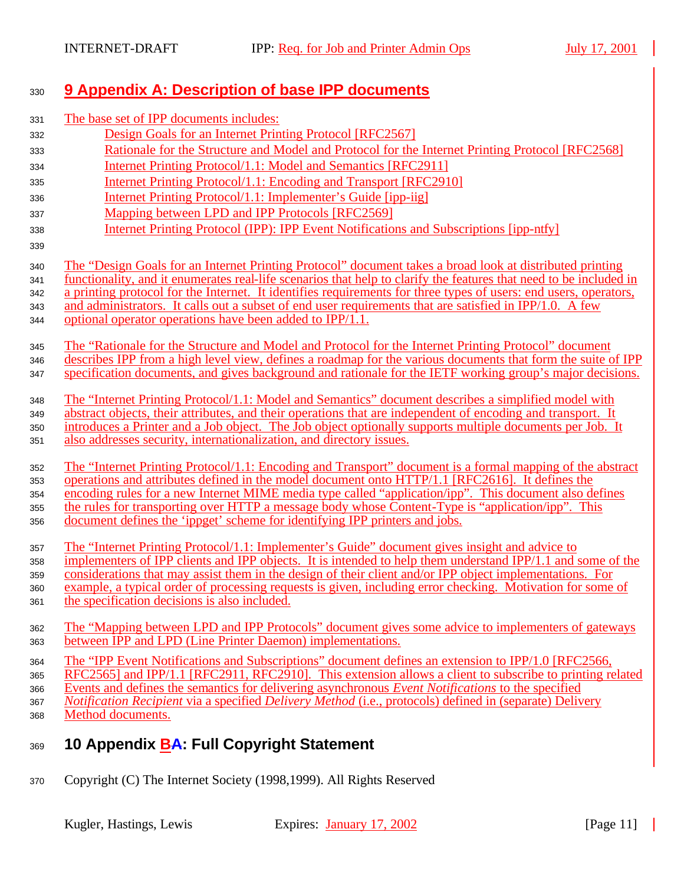# <sup>330</sup> **9 Appendix A: Description of base IPP documents**

| 331        | The base set of IPP documents includes:                                                                                                                                                                                 |
|------------|-------------------------------------------------------------------------------------------------------------------------------------------------------------------------------------------------------------------------|
| 332        | Design Goals for an Internet Printing Protocol [RFC2567]                                                                                                                                                                |
| 333        | Rationale for the Structure and Model and Protocol for the Internet Printing Protocol [RFC2568]                                                                                                                         |
| 334        | Internet Printing Protocol/1.1: Model and Semantics [RFC2911]                                                                                                                                                           |
| 335        | Internet Printing Protocol/1.1: Encoding and Transport [RFC2910]                                                                                                                                                        |
| 336        | Internet Printing Protocol/1.1: Implementer's Guide [ipp-iig]                                                                                                                                                           |
| 337        | Mapping between LPD and IPP Protocols [RFC2569]                                                                                                                                                                         |
| 338        | <b>Internet Printing Protocol (IPP): IPP Event Notifications and Subscriptions [ipp-ntfy]</b>                                                                                                                           |
| 339        |                                                                                                                                                                                                                         |
| 340        | The "Design Goals for an Internet Printing Protocol" document takes a broad look at distributed printing                                                                                                                |
| 341        | functionality, and it enumerates real-life scenarios that help to clarify the features that need to be included in                                                                                                      |
| 342        | a printing protocol for the Internet. It identifies requirements for three types of users: end users, operators,                                                                                                        |
| 343        | and administrators. It calls out a subset of end user requirements that are satisfied in IPP/1.0. A few                                                                                                                 |
| 344        | optional operator operations have been added to IPP/1.1.                                                                                                                                                                |
| 345        | The "Rationale for the Structure and Model and Protocol for the Internet Printing Protocol" document                                                                                                                    |
| 346        | describes IPP from a high level view, defines a roadmap for the various documents that form the suite of IPP                                                                                                            |
| 347        | specification documents, and gives background and rationale for the IETF working group's major decisions.                                                                                                               |
|            |                                                                                                                                                                                                                         |
| 348        | The "Internet Printing Protocol/1.1: Model and Semantics" document describes a simplified model with                                                                                                                    |
| 349        | abstract objects, their attributes, and their operations that are independent of encoding and transport. It<br>introduces a Printer and a Job object. The Job object optionally supports multiple documents per Job. It |
| 350<br>351 | also addresses security, internationalization, and directory issues.                                                                                                                                                    |
|            |                                                                                                                                                                                                                         |
| 352        | The "Internet Printing Protocol/1.1: Encoding and Transport" document is a formal mapping of the abstract                                                                                                               |
| 353        | operations and attributes defined in the model document onto HTTP/1.1 [RFC2616]. It defines the                                                                                                                         |
| 354        | encoding rules for a new Internet MIME media type called "application/ipp". This document also defines                                                                                                                  |
| 355        | the rules for transporting over HTTP a message body whose Content-Type is "application/ipp". This                                                                                                                       |
| 356        | document defines the 'ippget' scheme for identifying IPP printers and jobs.                                                                                                                                             |
| 357        | The "Internet Printing Protocol/1.1: Implementer's Guide" document gives insight and advice to                                                                                                                          |
| 358        | implementers of IPP clients and IPP objects. It is intended to help them understand IPP/1.1 and some of the                                                                                                             |
| 359        | considerations that may assist them in the design of their client and/or IPP object implementations. For                                                                                                                |
| 360        | example, a typical order of processing requests is given, including error checking. Motivation for some of                                                                                                              |
| 361        | the specification decisions is also included.                                                                                                                                                                           |
| 362        | The "Mapping between LPD and IPP Protocols" document gives some advice to implementers of gateways                                                                                                                      |
| 363        | between IPP and LPD (Line Printer Daemon) implementations.                                                                                                                                                              |
| 364        | The "IPP Event Notifications and Subscriptions" document defines an extension to IPP/1.0 [RFC2566,                                                                                                                      |
| 365        | RFC2565] and IPP/1.1 [RFC2911, RFC2910]. This extension allows a client to subscribe to printing related                                                                                                                |
| 366        | Events and defines the semantics for delivering asynchronous Event Notifications to the specified                                                                                                                       |
| 367        | Notification Recipient via a specified Delivery Method (i.e., protocols) defined in (separate) Delivery                                                                                                                 |
| 368        | Method documents.                                                                                                                                                                                                       |
| 369        | 10 Appendix <b>BA: Full Copyright Statement</b>                                                                                                                                                                         |
|            |                                                                                                                                                                                                                         |

<sup>370</sup> Copyright (C) The Internet Society (1998,1999). All Rights Reserved